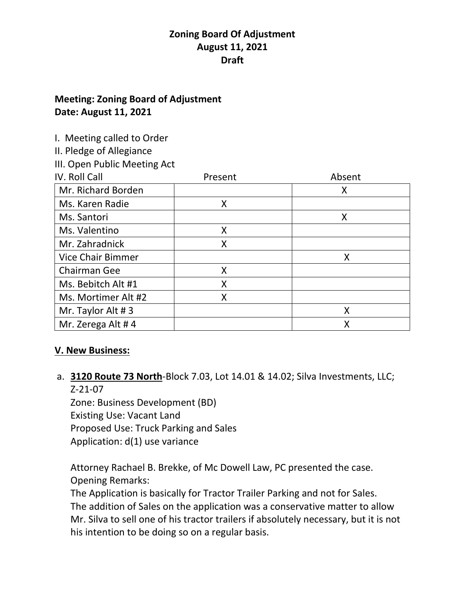## **Meeting: Zoning Board of Adjustment Date: August 11, 2021**

I. Meeting called to Order

II. Pledge of Allegiance

III. Open Public Meeting Act

| IV. Roll Call            | Present | Absent |
|--------------------------|---------|--------|
| Mr. Richard Borden       |         | Χ      |
| Ms. Karen Radie          | Χ       |        |
| Ms. Santori              |         | X      |
| Ms. Valentino            | Χ       |        |
| Mr. Zahradnick           | Χ       |        |
| <b>Vice Chair Bimmer</b> |         | х      |
| Chairman Gee             | Χ       |        |
| Ms. Bebitch Alt #1       | Χ       |        |
| Ms. Mortimer Alt #2      | Χ       |        |
| Mr. Taylor Alt #3        |         | χ      |
| Mr. Zerega Alt #4        |         |        |

## **V. New Business:**

a. **3120 Route 73 North**-Block 7.03, Lot 14.01 & 14.02; Silva Investments, LLC; Z-21-07

Zone: Business Development (BD) Existing Use: Vacant Land Proposed Use: Truck Parking and Sales Application: d(1) use variance

Attorney Rachael B. Brekke, of Mc Dowell Law, PC presented the case. Opening Remarks:

The Application is basically for Tractor Trailer Parking and not for Sales. The addition of Sales on the application was a conservative matter to allow Mr. Silva to sell one of his tractor trailers if absolutely necessary, but it is not his intention to be doing so on a regular basis.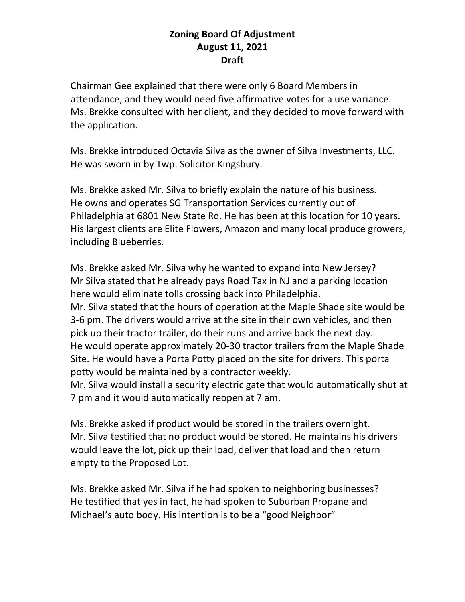Chairman Gee explained that there were only 6 Board Members in attendance, and they would need five affirmative votes for a use variance. Ms. Brekke consulted with her client, and they decided to move forward with the application.

Ms. Brekke introduced Octavia Silva as the owner of Silva Investments, LLC. He was sworn in by Twp. Solicitor Kingsbury.

Ms. Brekke asked Mr. Silva to briefly explain the nature of his business. He owns and operates SG Transportation Services currently out of Philadelphia at 6801 New State Rd. He has been at this location for 10 years. His largest clients are Elite Flowers, Amazon and many local produce growers, including Blueberries.

Ms. Brekke asked Mr. Silva why he wanted to expand into New Jersey? Mr Silva stated that he already pays Road Tax in NJ and a parking location here would eliminate tolls crossing back into Philadelphia. Mr. Silva stated that the hours of operation at the Maple Shade site would be 3-6 pm. The drivers would arrive at the site in their own vehicles, and then pick up their tractor trailer, do their runs and arrive back the next day. He would operate approximately 20-30 tractor trailers from the Maple Shade Site. He would have a Porta Potty placed on the site for drivers. This porta potty would be maintained by a contractor weekly.

Mr. Silva would install a security electric gate that would automatically shut at 7 pm and it would automatically reopen at 7 am.

Ms. Brekke asked if product would be stored in the trailers overnight. Mr. Silva testified that no product would be stored. He maintains his drivers would leave the lot, pick up their load, deliver that load and then return empty to the Proposed Lot.

Ms. Brekke asked Mr. Silva if he had spoken to neighboring businesses? He testified that yes in fact, he had spoken to Suburban Propane and Michael's auto body. His intention is to be a "good Neighbor"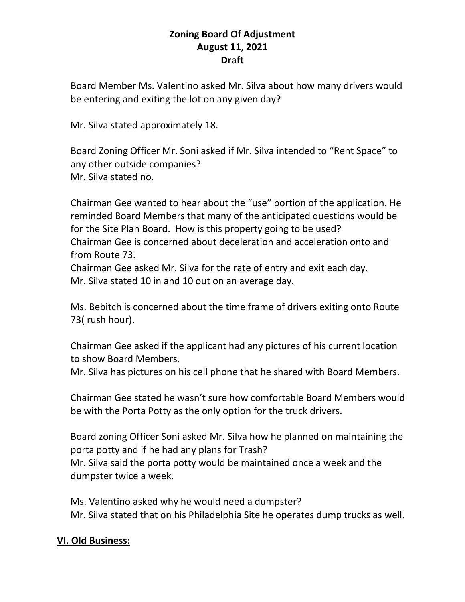Board Member Ms. Valentino asked Mr. Silva about how many drivers would be entering and exiting the lot on any given day?

Mr. Silva stated approximately 18.

Board Zoning Officer Mr. Soni asked if Mr. Silva intended to "Rent Space" to any other outside companies? Mr. Silva stated no.

Chairman Gee wanted to hear about the "use" portion of the application. He reminded Board Members that many of the anticipated questions would be for the Site Plan Board. How is this property going to be used? Chairman Gee is concerned about deceleration and acceleration onto and from Route 73.

Chairman Gee asked Mr. Silva for the rate of entry and exit each day. Mr. Silva stated 10 in and 10 out on an average day.

Ms. Bebitch is concerned about the time frame of drivers exiting onto Route 73( rush hour).

Chairman Gee asked if the applicant had any pictures of his current location to show Board Members.

Mr. Silva has pictures on his cell phone that he shared with Board Members.

Chairman Gee stated he wasn't sure how comfortable Board Members would be with the Porta Potty as the only option for the truck drivers.

Board zoning Officer Soni asked Mr. Silva how he planned on maintaining the porta potty and if he had any plans for Trash?

Mr. Silva said the porta potty would be maintained once a week and the dumpster twice a week.

Ms. Valentino asked why he would need a dumpster?

Mr. Silva stated that on his Philadelphia Site he operates dump trucks as well.

# **VI. Old Business:**